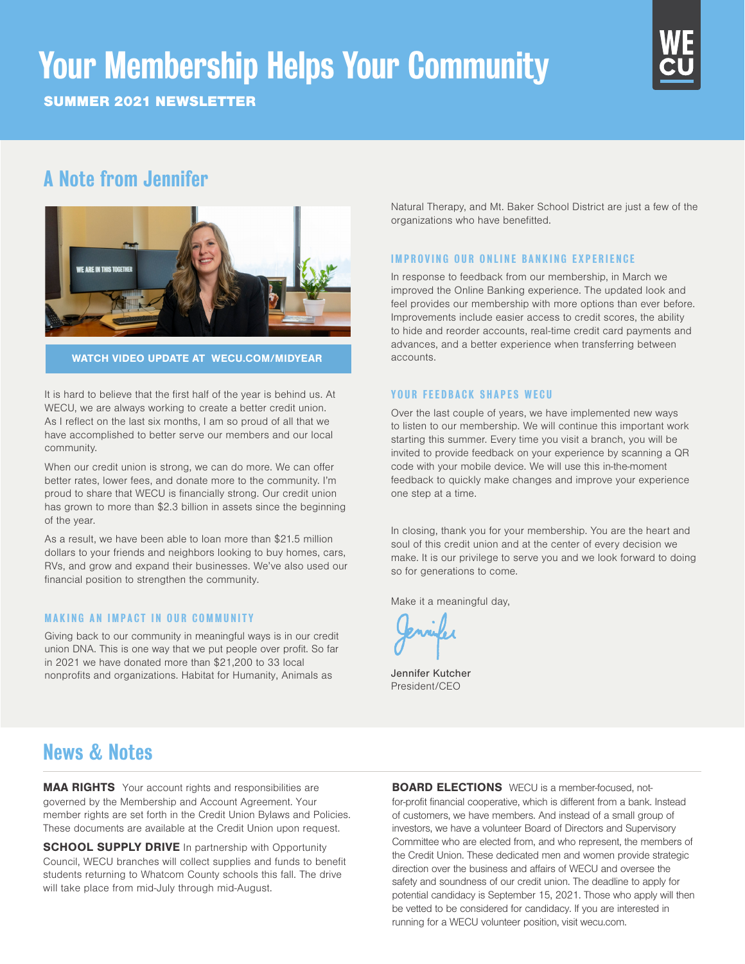# Your Membership Helps Your Community

SUMMER 2021 NEWSLETTER



# A Note from Jennifer



# WATCH VIDEO UPDATE AT WECU.COM/MIDYEAR

It is hard to believe that the first half of the year is behind us. At WECU, we are always working to create a better credit union. As I reflect on the last six months, I am so proud of all that we have accomplished to better serve our members and our local community.

When our credit union is strong, we can do more. We can offer better rates, lower fees, and donate more to the community. I'm proud to share that WECU is financially strong. Our credit union has grown to more than \$2.3 billion in assets since the beginning of the year.

As a result, we have been able to loan more than \$21.5 million dollars to your friends and neighbors looking to buy homes, cars, RVs, and grow and expand their businesses. We've also used our financial position to strengthen the community.

# MAKING AN IMPACT IN OUR COMMUNITY

Giving back to our community in meaningful ways is in our credit union DNA. This is one way that we put people over profit. So far in 2021 we have donated more than \$21,200 to 33 local nonprofits and organizations. Habitat for Humanity, Animals as

Natural Therapy, and Mt. Baker School District are just a few of the organizations who have benefitted.

#### **IMPROVING OUR ONLINE BANKING EXPERIENCE**

In response to feedback from our membership, in March we improved the Online Banking experience. The updated look and feel provides our membership with more options than ever before. Improvements include easier access to credit scores, the ability to hide and reorder accounts, real-time credit card payments and advances, and a better experience when transferring between accounts.

# YOUR FEEDBACK SHAPES WECU

Over the last couple of years, we have implemented new ways to listen to our membership. We will continue this important work starting this summer. Every time you visit a branch, you will be invited to provide feedback on your experience by scanning a QR code with your mobile device. We will use this in-the-moment feedback to quickly make changes and improve your experience one step at a time.

In closing, thank you for your membership. You are the heart and soul of this credit union and at the center of every decision we make. It is our privilege to serve you and we look forward to doing so for generations to come.

Make it a meaningful day,

Jennifer Kutcher President/CEO

# News & Notes

**MAA RIGHTS** Your account rights and responsibilities are governed by the Membership and Account Agreement. Your member rights are set forth in the Credit Union Bylaws and Policies. These documents are available at the Credit Union upon request.

**SCHOOL SUPPLY DRIVE** In partnership with Opportunity Council, WECU branches will collect supplies and funds to benefit students returning to Whatcom County schools this fall. The drive will take place from mid-July through mid-August.

**BOARD ELECTIONS** WECU is a member-focused, notfor-profit financial cooperative, which is different from a bank. Instead of customers, we have members. And instead of a small group of investors, we have a volunteer Board of Directors and Supervisory Committee who are elected from, and who represent, the members of the Credit Union. These dedicated men and women provide strategic direction over the business and affairs of WECU and oversee the safety and soundness of our credit union. The deadline to apply for potential candidacy is September 15, 2021. Those who apply will then be vetted to be considered for candidacy. If you are interested in running for a WECU volunteer position, visit wecu.com.